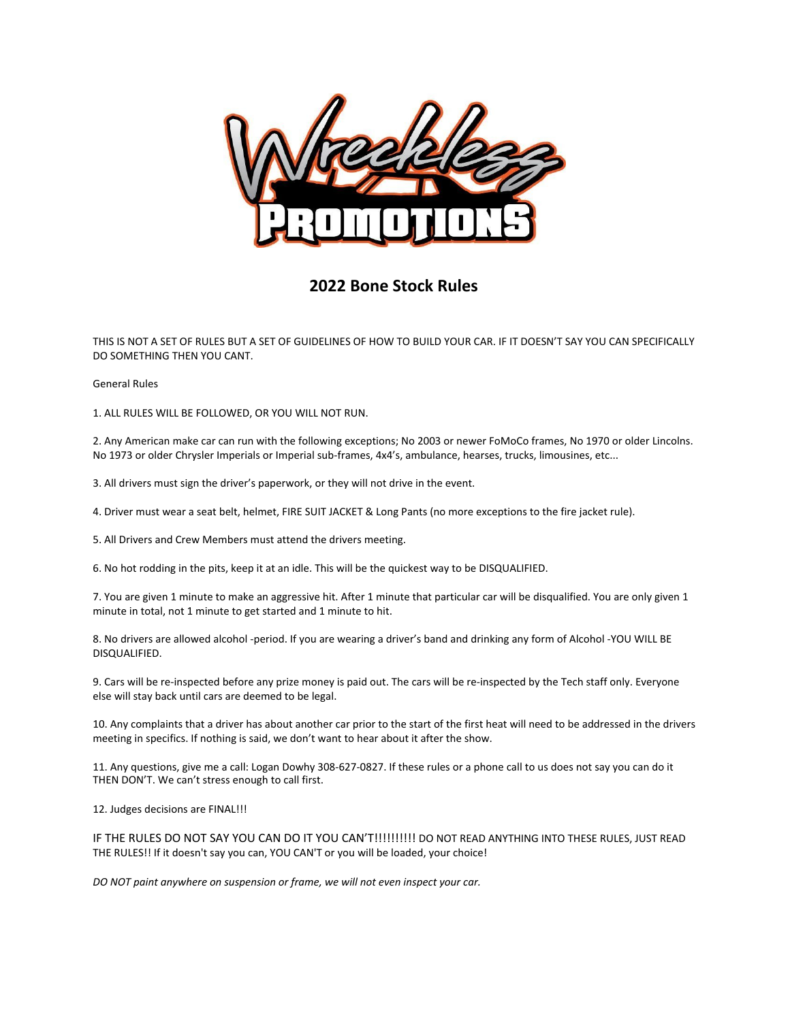

# **2022 Bone Stock Rules**

THIS IS NOT A SET OF RULES BUT A SET OF GUIDELINES OF HOW TO BUILD YOUR CAR. IF IT DOESN'T SAY YOU CAN SPECIFICALLY DO SOMETHING THEN YOU CANT.

General Rules

1. ALL RULES WILL BE FOLLOWED, OR YOU WILL NOT RUN.

2. Any American make car can run with the following exceptions; No 2003 or newer FoMoCo frames, No 1970 or older Lincolns. No 1973 or older Chrysler Imperials or Imperial sub-frames, 4x4's, ambulance, hearses, trucks, limousines, etc...

3. All drivers must sign the driver's paperwork, or they will not drive in the event.

4. Driver must wear a seat belt, helmet, FIRE SUIT JACKET & Long Pants (no more exceptions to the fire jacket rule).

5. All Drivers and Crew Members must attend the drivers meeting.

6. No hot rodding in the pits, keep it at an idle. This will be the quickest way to be DISQUALIFIED.

7. You are given 1 minute to make an aggressive hit. After 1 minute that particular car will be disqualified. You are only given 1 minute in total, not 1 minute to get started and 1 minute to hit.

8. No drivers are allowed alcohol -period. If you are wearing a driver's band and drinking any form of Alcohol -YOU WILL BE DISQUALIFIED.

9. Cars will be re-inspected before any prize money is paid out. The cars will be re-inspected by the Tech staff only. Everyone else will stay back until cars are deemed to be legal.

10. Any complaints that a driver has about another car prior to the start of the first heat will need to be addressed in the drivers meeting in specifics. If nothing is said, we don't want to hear about it after the show.

11. Any questions, give me a call: Logan Dowhy 308-627-0827. If these rules or a phone call to us does not say you can do it THEN DON'T. We can't stress enough to call first.

12. Judges decisions are FINAL!!!

IF THE RULES DO NOT SAY YOU CAN DO IT YOU CAN'T!!!!!!!!!!! DO NOT READ ANYTHING INTO THESE RULES, JUST READ THE RULES!! If it doesn't say you can, YOU CAN'T or you will be loaded, your choice!

*DO NOT paint anywhere on suspension or frame, we will not even inspect your car.*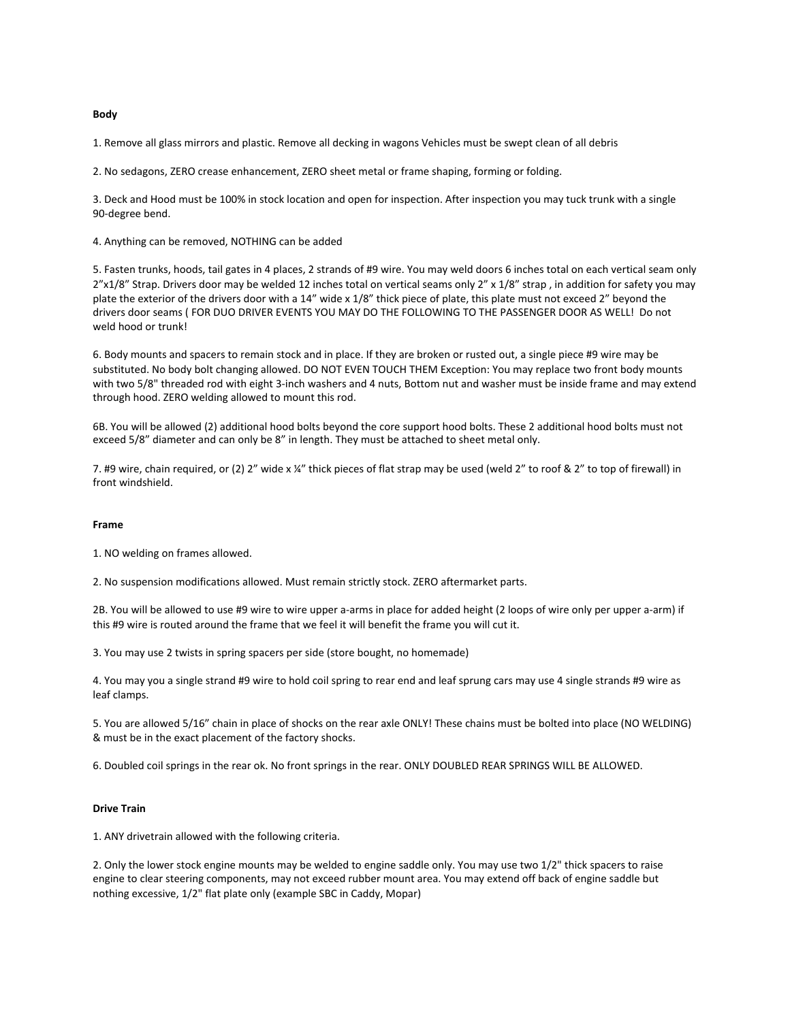## **Body**

1. Remove all glass mirrors and plastic. Remove all decking in wagons Vehicles must be swept clean of all debris

2. No sedagons, ZERO crease enhancement, ZERO sheet metal or frame shaping, forming or folding.

3. Deck and Hood must be 100% in stock location and open for inspection. After inspection you may tuck trunk with a single 90-degree bend.

4. Anything can be removed, NOTHING can be added

5. Fasten trunks, hoods, tail gates in 4 places, 2 strands of #9 wire. You may weld doors 6 inches total on each vertical seam only 2"x1/8" Strap. Drivers door may be welded 12 inches total on vertical seams only 2" x 1/8" strap, in addition for safety you may plate the exterior of the drivers door with a 14" wide x 1/8" thick piece of plate, this plate must not exceed 2" beyond the drivers door seams ( FOR DUO DRIVER EVENTS YOU MAY DO THE FOLLOWING TO THE PASSENGER DOOR AS WELL! Do not weld hood or trunk!

6. Body mounts and spacers to remain stock and in place. If they are broken or rusted out, a single piece #9 wire may be substituted. No body bolt changing allowed. DO NOT EVEN TOUCH THEM Exception: You may replace two front body mounts with two 5/8" threaded rod with eight 3-inch washers and 4 nuts, Bottom nut and washer must be inside frame and may extend through hood. ZERO welding allowed to mount this rod.

6B. You will be allowed (2) additional hood bolts beyond the core support hood bolts. These 2 additional hood bolts must not exceed 5/8" diameter and can only be 8" in length. They must be attached to sheet metal only.

7. #9 wire, chain required, or (2) 2" wide x ¼" thick pieces of flat strap may be used (weld 2" to roof & 2" to top of firewall) in front windshield.

## **Frame**

1. NO welding on frames allowed.

2. No suspension modifications allowed. Must remain strictly stock. ZERO aftermarket parts.

2B. You will be allowed to use #9 wire to wire upper a-arms in place for added height (2 loops of wire only per upper a-arm) if this #9 wire is routed around the frame that we feel it will benefit the frame you will cut it.

3. You may use 2 twists in spring spacers per side (store bought, no homemade)

4. You may you a single strand #9 wire to hold coil spring to rear end and leaf sprung cars may use 4 single strands #9 wire as leaf clamps.

5. You are allowed 5/16" chain in place of shocks on the rear axle ONLY! These chains must be bolted into place (NO WELDING) & must be in the exact placement of the factory shocks.

6. Doubled coil springs in the rear ok. No front springs in the rear. ONLY DOUBLED REAR SPRINGS WILL BE ALLOWED.

# **Drive Train**

1. ANY drivetrain allowed with the following criteria.

2. Only the lower stock engine mounts may be welded to engine saddle only. You may use two 1/2" thick spacers to raise engine to clear steering components, may not exceed rubber mount area. You may extend off back of engine saddle but nothing excessive, 1/2" flat plate only (example SBC in Caddy, Mopar)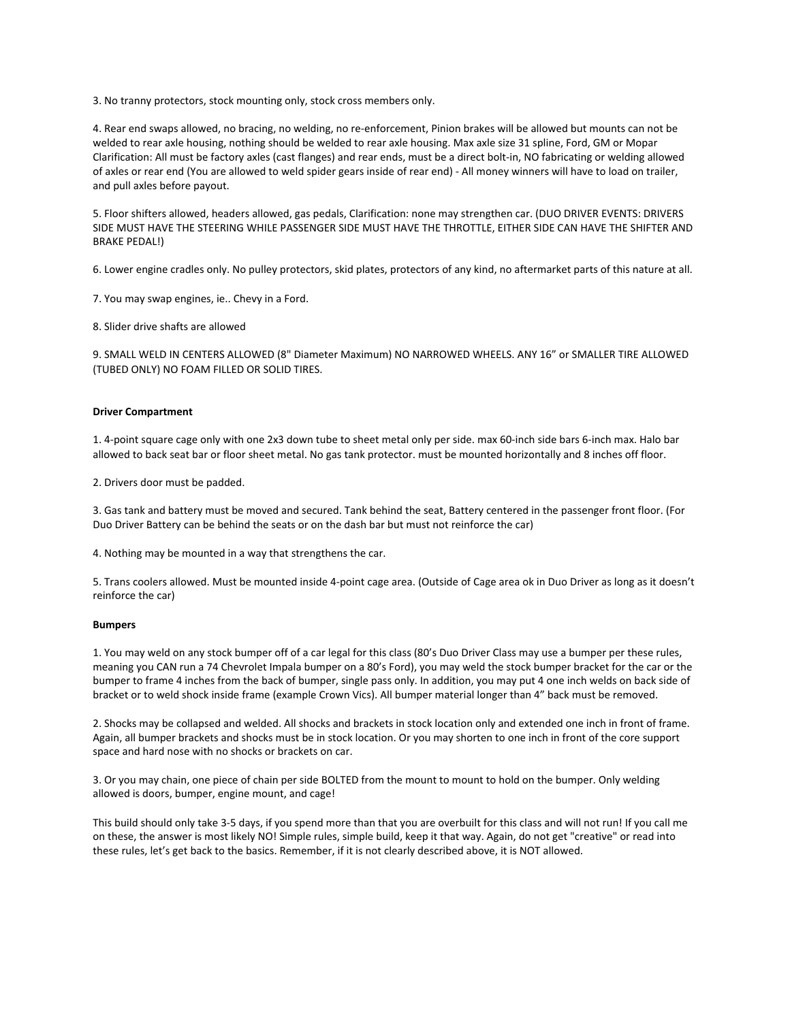3. No tranny protectors, stock mounting only, stock cross members only.

4. Rear end swaps allowed, no bracing, no welding, no re-enforcement, Pinion brakes will be allowed but mounts can not be welded to rear axle housing, nothing should be welded to rear axle housing. Max axle size 31 spline, Ford, GM or Mopar Clarification: All must be factory axles (cast flanges) and rear ends, must be a direct bolt-in, NO fabricating or welding allowed of axles or rear end (You are allowed to weld spider gears inside of rear end) - All money winners will have to load on trailer, and pull axles before payout.

5. Floor shifters allowed, headers allowed, gas pedals, Clarification: none may strengthen car. (DUO DRIVER EVENTS: DRIVERS SIDE MUST HAVE THE STEERING WHILE PASSENGER SIDE MUST HAVE THE THROTTLE, EITHER SIDE CAN HAVE THE SHIFTER AND BRAKE PEDAL!)

6. Lower engine cradles only. No pulley protectors, skid plates, protectors of any kind, no aftermarket parts of this nature at all.

7. You may swap engines, ie.. Chevy in a Ford.

8. Slider drive shafts are allowed

9. SMALL WELD IN CENTERS ALLOWED (8" Diameter Maximum) NO NARROWED WHEELS. ANY 16" or SMALLER TIRE ALLOWED (TUBED ONLY) NO FOAM FILLED OR SOLID TIRES.

### **Driver Compartment**

1. 4-point square cage only with one 2x3 down tube to sheet metal only per side. max 60-inch side bars 6-inch max. Halo bar allowed to back seat bar or floor sheet metal. No gas tank protector. must be mounted horizontally and 8 inches off floor.

2. Drivers door must be padded.

3. Gas tank and battery must be moved and secured. Tank behind the seat, Battery centered in the passenger front floor. (For Duo Driver Battery can be behind the seats or on the dash bar but must not reinforce the car)

4. Nothing may be mounted in a way that strengthens the car.

5. Trans coolers allowed. Must be mounted inside 4-point cage area. (Outside of Cage area ok in Duo Driver as long as it doesn't reinforce the car)

### **Bumpers**

1. You may weld on any stock bumper off of a car legal for this class (80's Duo Driver Class may use a bumper per these rules, meaning you CAN run a 74 Chevrolet Impala bumper on a 80's Ford), you may weld the stock bumper bracket for the car or the bumper to frame 4 inches from the back of bumper, single pass only. In addition, you may put 4 one inch welds on back side of bracket or to weld shock inside frame (example Crown Vics). All bumper material longer than 4" back must be removed.

2. Shocks may be collapsed and welded. All shocks and brackets in stock location only and extended one inch in front of frame. Again, all bumper brackets and shocks must be in stock location. Or you may shorten to one inch in front of the core support space and hard nose with no shocks or brackets on car.

3. Or you may chain, one piece of chain per side BOLTED from the mount to mount to hold on the bumper. Only welding allowed is doors, bumper, engine mount, and cage!

This build should only take 3-5 days, if you spend more than that you are overbuilt for this class and will not run! If you call me on these, the answer is most likely NO! Simple rules, simple build, keep it that way. Again, do not get "creative" or read into these rules, let's get back to the basics. Remember, if it is not clearly described above, it is NOT allowed.